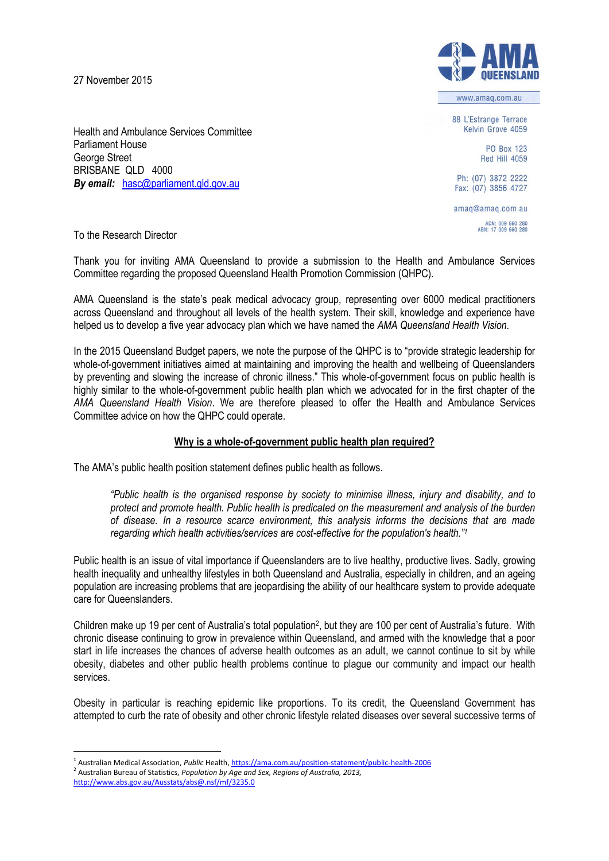27 November 2015



www.amag.com.au

88 L'Estrange Terrace Kelvin Grove 4059

> **PO Box 123 Red Hill 4059**

Ph: (07) 3872 2222 Fax: (07) 3856 4727

amaq@amaq.com.au ACN: 009 660 280<br>ABN: 17 009 660 280

Health and Ambulance Services Committee Parliament House George Street BRISBANE QLD 4000 *By email: hasc@parliament.gld.gov.au* 

To the Research Director

Thank you for inviting AMA Queensland to provide a submission to the Health and Ambulance Services Committee regarding the proposed Queensland Health Promotion Commission (QHPC).

AMA Queensland is the state's peak medical advocacy group, representing over 6000 medical practitioners across Queensland and throughout all levels of the health system. Their skill, knowledge and experience have helped us to develop a five year advocacy plan which we have named the *AMA Queensland Health Vision*.

In the 2015 Queensland Budget papers, we note the purpose of the QHPC is to "provide strategic leadership for whole-of-government initiatives aimed at maintaining and improving the health and wellbeing of Queenslanders by preventing and slowing the increase of chronic illness." This whole-of-government focus on public health is highly similar to the whole-of-government public health plan which we advocated for in the first chapter of the *AMA Queensland Health Vision*. We are therefore pleased to offer the Health and Ambulance Services Committee advice on how the QHPC could operate.

# **Why is a whole-of-government public health plan required?**

The AMA's public health position statement defines public health as follows.

*"Public health is the organised response by society to minimise illness, injury and disability, and to protect and promote health. Public health is predicated on the measurement and analysis of the burden of disease. In a resource scarce environment, this analysis informs the decisions that are made regarding which health activities/services are cost-effective for the population's health."<sup>1</sup>*

Public health is an issue of vital importance if Queenslanders are to live healthy, productive lives. Sadly, growing health inequality and unhealthy lifestyles in both Queensland and Australia, especially in children, and an ageing population are increasing problems that are jeopardising the ability of our healthcare system to provide adequate care for Queenslanders.

Children make up 19 per cent of Australia's total population<sup>2</sup>, but they are 100 per cent of Australia's future. With chronic disease continuing to grow in prevalence within Queensland, and armed with the knowledge that a poor start in life increases the chances of adverse health outcomes as an adult, we cannot continue to sit by while obesity, diabetes and other public health problems continue to plague our community and impact our health services.

Obesity in particular is reaching epidemic like proportions. To its credit, the Queensland Government has attempted to curb the rate of obesity and other chronic lifestyle related diseases over several successive terms of

<sup>1</sup> <sup>1</sup> Australian Medical Association, *Public* Health[, https://ama.com.au/position-statement/public-health-2006](https://ama.com.au/position-statement/public-health-2006)

<sup>2</sup> Australian Bureau of Statistics, *Population by Age and Sex, Regions of Australia, 2013,* <http://www.abs.gov.au/Ausstats/abs@.nsf/mf/3235.0>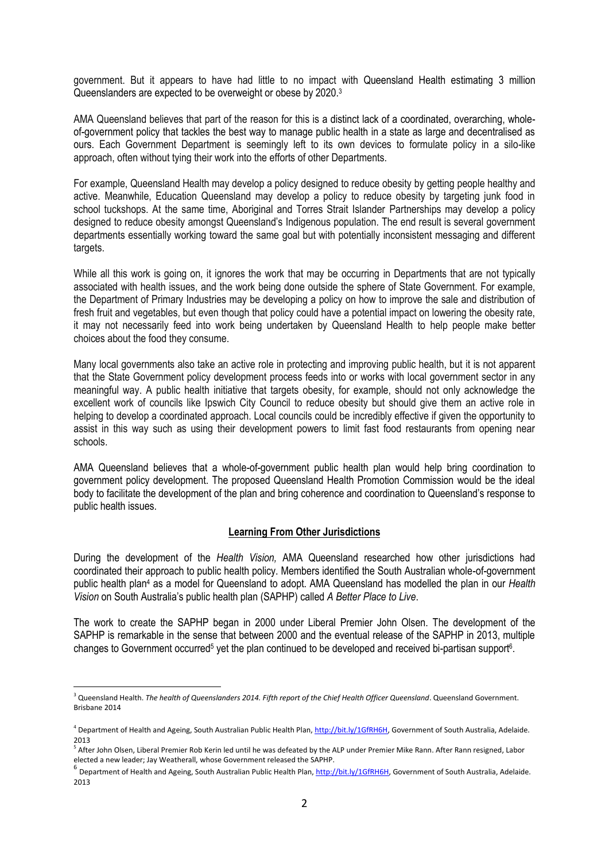government. But it appears to have had little to no impact with Queensland Health estimating 3 million Queenslanders are expected to be overweight or obese by 2020.<sup>3</sup>

AMA Queensland believes that part of the reason for this is a distinct lack of a coordinated, overarching, wholeof-government policy that tackles the best way to manage public health in a state as large and decentralised as ours. Each Government Department is seemingly left to its own devices to formulate policy in a silo-like approach, often without tying their work into the efforts of other Departments.

For example, Queensland Health may develop a policy designed to reduce obesity by getting people healthy and active. Meanwhile, Education Queensland may develop a policy to reduce obesity by targeting junk food in school tuckshops. At the same time, Aboriginal and Torres Strait Islander Partnerships may develop a policy designed to reduce obesity amongst Queensland's Indigenous population. The end result is several government departments essentially working toward the same goal but with potentially inconsistent messaging and different targets.

While all this work is going on, it ignores the work that may be occurring in Departments that are not typically associated with health issues, and the work being done outside the sphere of State Government. For example, the Department of Primary Industries may be developing a policy on how to improve the sale and distribution of fresh fruit and vegetables, but even though that policy could have a potential impact on lowering the obesity rate, it may not necessarily feed into work being undertaken by Queensland Health to help people make better choices about the food they consume.

Many local governments also take an active role in protecting and improving public health, but it is not apparent that the State Government policy development process feeds into or works with local government sector in any meaningful way. A public health initiative that targets obesity, for example, should not only acknowledge the excellent work of councils like Ipswich City Council to reduce obesity but should give them an active role in helping to develop a coordinated approach. Local councils could be incredibly effective if given the opportunity to assist in this way such as using their development powers to limit fast food restaurants from opening near schools.

AMA Queensland believes that a whole-of-government public health plan would help bring coordination to government policy development. The proposed Queensland Health Promotion Commission would be the ideal body to facilitate the development of the plan and bring coherence and coordination to Queensland's response to public health issues.

# **Learning From Other Jurisdictions**

During the development of the *Health Vision,* AMA Queensland researched how other jurisdictions had coordinated their approach to public health policy. Members identified the South Australian whole-of-government public health plan<sup>4</sup> as a model for Queensland to adopt. AMA Queensland has modelled the plan in our *Health Vision* on South Australia's public health plan (SAPHP) called *A Better Place to Live*.

The work to create the SAPHP began in 2000 under Liberal Premier John Olsen. The development of the SAPHP is remarkable in the sense that between 2000 and the eventual release of the SAPHP in 2013, multiple changes to Government occurred<sup>5</sup> yet the plan continued to be developed and received bi-partisan support<sup>6</sup>.

<u>.</u>

<sup>&</sup>lt;sup>3</sup> Queensland Health. *The health of Queenslanders 2014. Fifth report of the Chief Health Officer Queensland. Queensland Government.* Brisbane 2014

<sup>&</sup>lt;sup>4</sup> Department of Health and Ageing, South Australian Public Health Plan[, http://bit.ly/1GfRH6H,](http://bit.ly/1GfRH6H) Government of South Australia, Adelaide. 2013

<sup>&</sup>lt;sup>5</sup> After John Olsen, Liberal Premier Rob Kerin led until he was defeated by the ALP under Premier Mike Rann. After Rann resigned, Labor elected a new leader; Jay Weatherall, whose Government released the SAPHP.

<sup>&</sup>lt;sup>6</sup> Department of Health and Ageing, South Australian Public Health Plan, [http://bit.ly/1GfRH6H,](http://bit.ly/1GfRH6H) Government of South Australia, Adelaide. 2013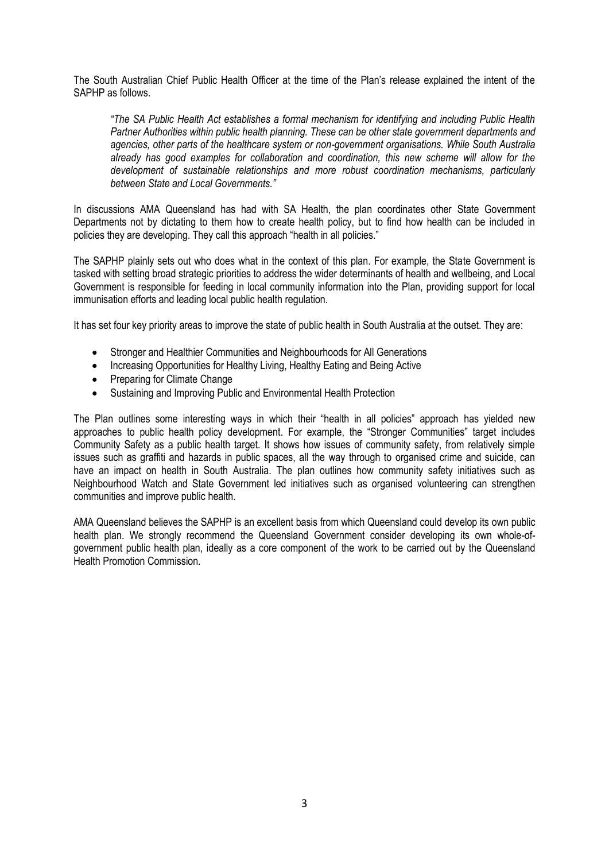The South Australian Chief Public Health Officer at the time of the Plan's release explained the intent of the SAPHP as follows.

*"The SA Public Health Act establishes a formal mechanism for identifying and including Public Health Partner Authorities within public health planning. These can be other state government departments and agencies, other parts of the healthcare system or non-government organisations. While South Australia already has good examples for collaboration and coordination, this new scheme will allow for the development of sustainable relationships and more robust coordination mechanisms, particularly between State and Local Governments."*

In discussions AMA Queensland has had with SA Health, the plan coordinates other State Government Departments not by dictating to them how to create health policy, but to find how health can be included in policies they are developing. They call this approach "health in all policies."

The SAPHP plainly sets out who does what in the context of this plan. For example, the State Government is tasked with setting broad strategic priorities to address the wider determinants of health and wellbeing, and Local Government is responsible for feeding in local community information into the Plan, providing support for local immunisation efforts and leading local public health regulation.

It has set four key priority areas to improve the state of public health in South Australia at the outset. They are:

- Stronger and Healthier Communities and Neighbourhoods for All Generations
- Increasing Opportunities for Healthy Living, Healthy Eating and Being Active
- Preparing for Climate Change
- Sustaining and Improving Public and Environmental Health Protection

The Plan outlines some interesting ways in which their "health in all policies" approach has yielded new approaches to public health policy development. For example, the "Stronger Communities" target includes Community Safety as a public health target. It shows how issues of community safety, from relatively simple issues such as graffiti and hazards in public spaces, all the way through to organised crime and suicide, can have an impact on health in South Australia. The plan outlines how community safety initiatives such as Neighbourhood Watch and State Government led initiatives such as organised volunteering can strengthen communities and improve public health.

AMA Queensland believes the SAPHP is an excellent basis from which Queensland could develop its own public health plan. We strongly recommend the Queensland Government consider developing its own whole-ofgovernment public health plan, ideally as a core component of the work to be carried out by the Queensland Health Promotion Commission.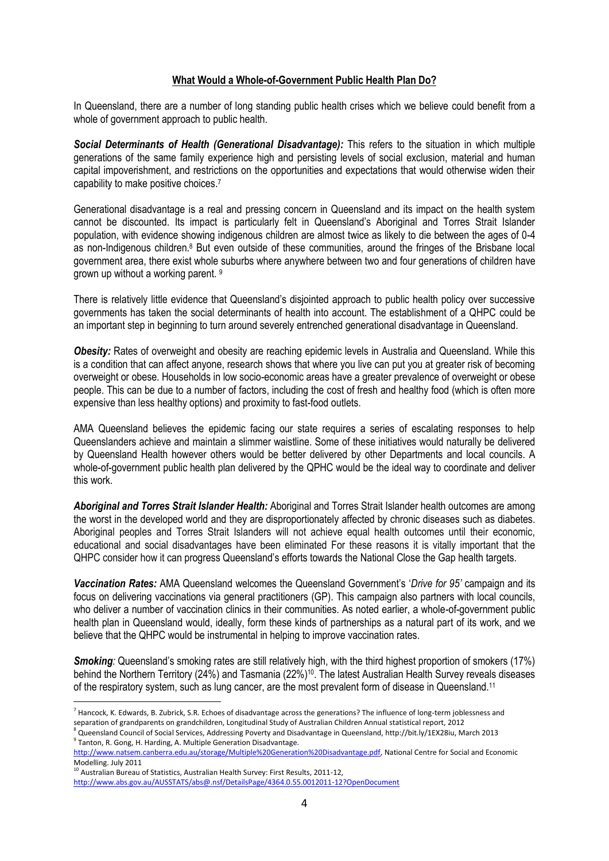## **What Would a Whole-of-Government Public Health Plan Do?**

In Queensland, there are a number of long standing public health crises which we believe could benefit from a whole of government approach to public health.

*Social Determinants of Health (Generational Disadvantage):* This refers to the situation in which multiple generations of the same family experience high and persisting levels of social exclusion, material and human capital impoverishment, and restrictions on the opportunities and expectations that would otherwise widen their capability to make positive choices.<sup>7</sup>

Generational disadvantage is a real and pressing concern in Queensland and its impact on the health system cannot be discounted. Its impact is particularly felt in Queensland's Aboriginal and Torres Strait Islander population, with evidence showing indigenous children are almost twice as likely to die between the ages of 0-4 as non-Indigenous children.<sup>8</sup> But even outside of these communities, around the fringes of the Brisbane local government area, there exist whole suburbs where anywhere between two and four generations of children have grown up without a working parent. <sup>9</sup>

There is relatively little evidence that Queensland's disjointed approach to public health policy over successive governments has taken the social determinants of health into account. The establishment of a QHPC could be an important step in beginning to turn around severely entrenched generational disadvantage in Queensland.

**Obesity:** Rates of overweight and obesity are reaching epidemic levels in Australia and Queensland. While this is a condition that can affect anyone, research shows that where you live can put you at greater risk of becoming overweight or obese. Households in low socio-economic areas have a greater prevalence of overweight or obese people. This can be due to a number of factors, including the cost of fresh and healthy food (which is often more expensive than less healthy options) and proximity to fast-food outlets.

AMA Queensland believes the epidemic facing our state requires a series of escalating responses to help Queenslanders achieve and maintain a slimmer waistline. Some of these initiatives would naturally be delivered by Queensland Health however others would be better delivered by other Departments and local councils. A whole-of-government public health plan delivered by the QPHC would be the ideal way to coordinate and deliver this work.

*Aboriginal and Torres Strait Islander Health:* Aboriginal and Torres Strait Islander health outcomes are among the worst in the developed world and they are disproportionately affected by chronic diseases such as diabetes. Aboriginal peoples and Torres Strait Islanders will not achieve equal health outcomes until their economic, educational and social disadvantages have been eliminated For these reasons it is vitally important that the QHPC consider how it can progress Queensland's efforts towards the National Close the Gap health targets.

*Vaccination Rates:* AMA Queensland welcomes the Queensland Government's '*Drive for 95'* campaign and its focus on delivering vaccinations via general practitioners (GP). This campaign also partners with local councils, who deliver a number of vaccination clinics in their communities. As noted earlier, a whole-of-government public health plan in Queensland would, ideally, form these kinds of partnerships as a natural part of its work, and we believe that the QHPC would be instrumental in helping to improve vaccination rates.

**Smoking**: Queensland's smoking rates are still relatively high, with the third highest proportion of smokers (17%) behind the Northern Territory (24%) and Tasmania (22%)10. The latest Australian Health Survey reveals diseases of the respiratory system, such as lung cancer, are the most prevalent form of disease in Queensland.<sup>11</sup>

<sup>9</sup> Tanton, R. Gong, H. Harding, A. Multiple Generation Disadvantage.

<u>.</u>

<sup>&</sup>lt;sup>7</sup> Hancock, K. Edwards, B. Zubrick, S.R. Echoes of disadvantage across the generations? The influence of long-term joblessness and separation of grandparents on grandchildren, Longitudinal Study of Australian Children Annual statistical report, 2012 <sup>8</sup> Queensland Council of Social Services, Addressing Poverty and Disadvantage in Queensland, http://bit.ly/1EX28iu, March 2013

[http://www.natsem.canberra.edu.au/storage/Multiple%20Generation%20Disadvantage.pdf,](http://www.natsem.canberra.edu.au/storage/Multiple%20Generation%20Disadvantage.pdf) National Centre for Social and Economic Modelling. July 2011

 $10$  Australian Bureau of Statistics, Australian Health Survey: First Results, 2011-12, <http://www.abs.gov.au/AUSSTATS/abs@.nsf/DetailsPage/4364.0.55.0012011-12?OpenDocument>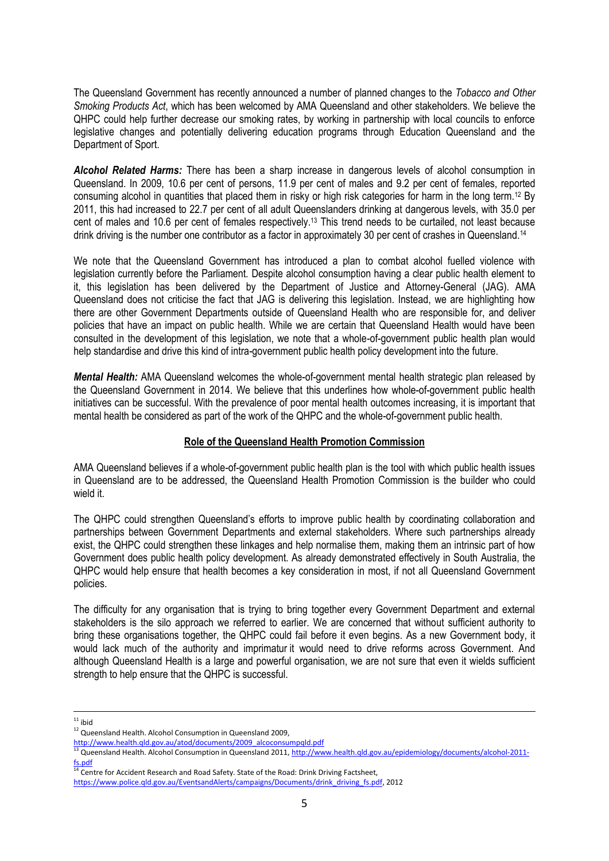The Queensland Government has recently announced a number of planned changes to the *Tobacco and Other Smoking Products Act*, which has been welcomed by AMA Queensland and other stakeholders. We believe the QHPC could help further decrease our smoking rates, by working in partnership with local councils to enforce legislative changes and potentially delivering education programs through Education Queensland and the Department of Sport.

*Alcohol Related Harms:* There has been a sharp increase in dangerous levels of alcohol consumption in Queensland. In 2009, 10.6 per cent of persons, 11.9 per cent of males and 9.2 per cent of females, reported consuming alcohol in quantities that placed them in risky or high risk categories for harm in the long term.<sup>12</sup> By 2011, this had increased to 22.7 per cent of all adult Queenslanders drinking at dangerous levels, with 35.0 per cent of males and 10.6 per cent of females respectively.<sup>13</sup> This trend needs to be curtailed, not least because drink driving is the number one contributor as a factor in approximately 30 per cent of crashes in Queensland.<sup>14</sup>

We note that the Queensland Government has introduced a plan to combat alcohol fuelled violence with legislation currently before the Parliament. Despite alcohol consumption having a clear public health element to it, this legislation has been delivered by the Department of Justice and Attorney-General (JAG). AMA Queensland does not criticise the fact that JAG is delivering this legislation. Instead, we are highlighting how there are other Government Departments outside of Queensland Health who are responsible for, and deliver policies that have an impact on public health. While we are certain that Queensland Health would have been consulted in the development of this legislation, we note that a whole-of-government public health plan would help standardise and drive this kind of intra-government public health policy development into the future.

*Mental Health:* AMA Queensland welcomes the whole-of-government mental health strategic plan released by the Queensland Government in 2014. We believe that this underlines how whole-of-government public health initiatives can be successful. With the prevalence of poor mental health outcomes increasing, it is important that mental health be considered as part of the work of the QHPC and the whole-of-government public health.

# **Role of the Queensland Health Promotion Commission**

AMA Queensland believes if a whole-of-government public health plan is the tool with which public health issues in Queensland are to be addressed, the Queensland Health Promotion Commission is the builder who could wield it.

The QHPC could strengthen Queensland's efforts to improve public health by coordinating collaboration and partnerships between Government Departments and external stakeholders. Where such partnerships already exist, the QHPC could strengthen these linkages and help normalise them, making them an intrinsic part of how Government does public health policy development. As already demonstrated effectively in South Australia, the QHPC would help ensure that health becomes a key consideration in most, if not all Queensland Government policies.

The difficulty for any organisation that is trying to bring together every Government Department and external stakeholders is the silo approach we referred to earlier. We are concerned that without sufficient authority to bring these organisations together, the QHPC could fail before it even begins. As a new Government body, it would lack much of the authority and imprimatur it would need to drive reforms across Government. And although Queensland Health is a large and powerful organisation, we are not sure that even it wields sufficient strength to help ensure that the QHPC is successful.

1

 $11$  ibid

<sup>&</sup>lt;sup>12</sup> Queensland Health. Alcohol Consumption in Queensland 2009,

[http://www.health.qld.gov.au/atod/documents/2009\\_alcoconsumpqld.pdf](http://www.health.qld.gov.au/atod/documents/2009_alcoconsumpqld.pdf)

<sup>&</sup>lt;sup>13</sup> Queensland Health. Alcohol Consumption in Queensland 2011[, http://www.health.qld.gov.au/epidemiology/documents/alcohol-2011](http://www.health.qld.gov.au/epidemiology/documents/alcohol-2011-fs.pdf) [fs.pdf](http://www.health.qld.gov.au/epidemiology/documents/alcohol-2011-fs.pdf)

<sup>&</sup>lt;sup>14</sup> Centre for Accident Research and Road Safety. State of the Road: Drink Driving Factsheet,

[https://www.police.qld.gov.au/EventsandAlerts/campaigns/Documents/drink\\_driving\\_fs.pdf,](https://www.police.qld.gov.au/EventsandAlerts/campaigns/Documents/drink_driving_fs.pdf) 2012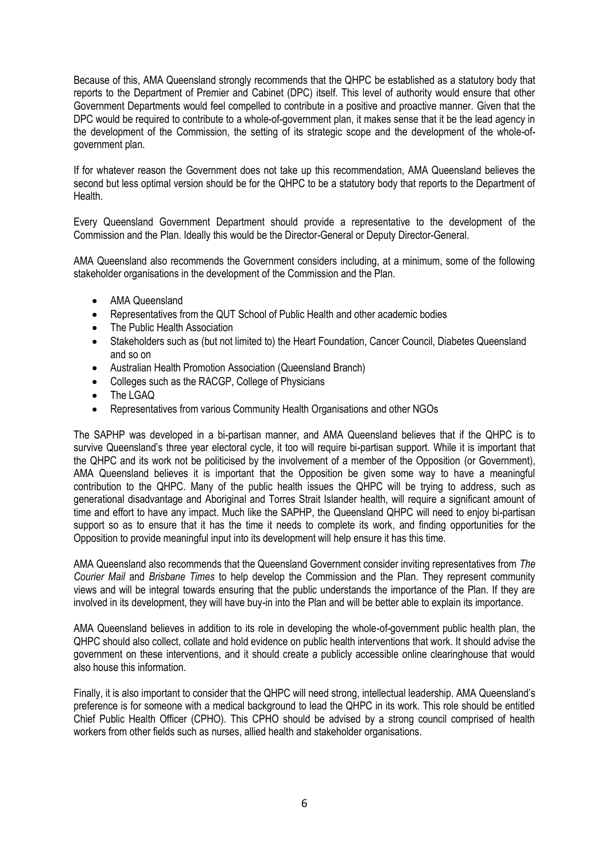Because of this, AMA Queensland strongly recommends that the QHPC be established as a statutory body that reports to the Department of Premier and Cabinet (DPC) itself. This level of authority would ensure that other Government Departments would feel compelled to contribute in a positive and proactive manner. Given that the DPC would be required to contribute to a whole-of-government plan, it makes sense that it be the lead agency in the development of the Commission, the setting of its strategic scope and the development of the whole-ofgovernment plan.

If for whatever reason the Government does not take up this recommendation, AMA Queensland believes the second but less optimal version should be for the QHPC to be a statutory body that reports to the Department of Health.

Every Queensland Government Department should provide a representative to the development of the Commission and the Plan. Ideally this would be the Director-General or Deputy Director-General.

AMA Queensland also recommends the Government considers including, at a minimum, some of the following stakeholder organisations in the development of the Commission and the Plan.

- AMA Queensland
- Representatives from the QUT School of Public Health and other academic bodies
- The Public Health Association
- Stakeholders such as (but not limited to) the Heart Foundation, Cancer Council, Diabetes Queensland and so on
- Australian Health Promotion Association (Queensland Branch)
- Colleges such as the RACGP, College of Physicians
- The LGAQ
- Representatives from various Community Health Organisations and other NGOs

The SAPHP was developed in a bi-partisan manner, and AMA Queensland believes that if the QHPC is to survive Queensland's three year electoral cycle, it too will require bi-partisan support. While it is important that the QHPC and its work not be politicised by the involvement of a member of the Opposition (or Government), AMA Queensland believes it is important that the Opposition be given some way to have a meaningful contribution to the QHPC. Many of the public health issues the QHPC will be trying to address, such as generational disadvantage and Aboriginal and Torres Strait Islander health, will require a significant amount of time and effort to have any impact. Much like the SAPHP, the Queensland QHPC will need to enjoy bi-partisan support so as to ensure that it has the time it needs to complete its work, and finding opportunities for the Opposition to provide meaningful input into its development will help ensure it has this time.

AMA Queensland also recommends that the Queensland Government consider inviting representatives from *The Courier Mail* and *Brisbane Times* to help develop the Commission and the Plan. They represent community views and will be integral towards ensuring that the public understands the importance of the Plan. If they are involved in its development, they will have buy-in into the Plan and will be better able to explain its importance.

AMA Queensland believes in addition to its role in developing the whole-of-government public health plan, the QHPC should also collect, collate and hold evidence on public health interventions that work. It should advise the government on these interventions, and it should create a publicly accessible online clearinghouse that would also house this information.

Finally, it is also important to consider that the QHPC will need strong, intellectual leadership. AMA Queensland's preference is for someone with a medical background to lead the QHPC in its work. This role should be entitled Chief Public Health Officer (CPHO). This CPHO should be advised by a strong council comprised of health workers from other fields such as nurses, allied health and stakeholder organisations.